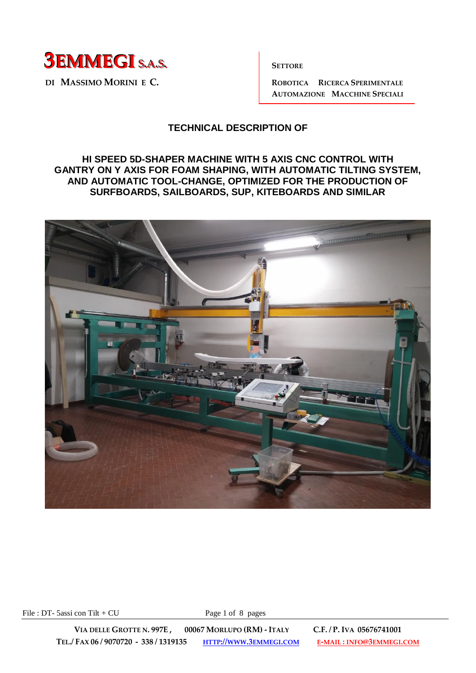

## **TECHNICAL DESCRIPTION OF**

## **HI SPEED 5D-SHAPER MACHINE WITH 5 AXIS CNC CONTROL WITH GANTRY ON Y AXIS FOR FOAM SHAPING, WITH AUTOMATIC TILTING SYSTEM, AND AUTOMATIC TOOL-CHANGE, OPTIMIZED FOR THE PRODUCTION OF SURFBOARDS, SAILBOARDS, SUP, KITEBOARDS AND SIMILAR**



File : DT- 5assi con Tilt + CU Page 1 of 8 pages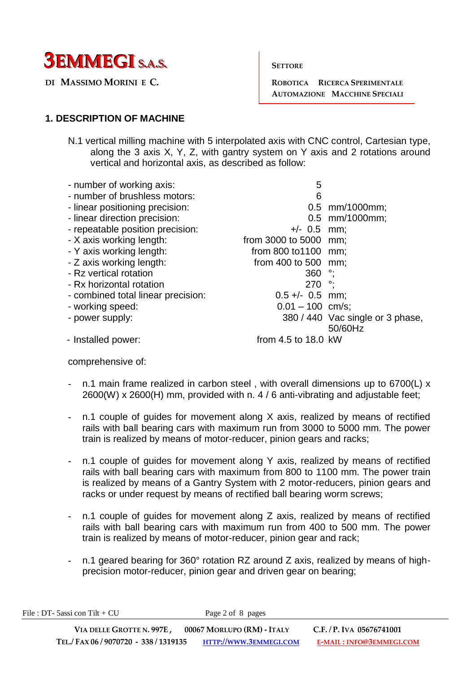

## **1. DESCRIPTION OF MACHINE**

N.1 vertical milling machine with 5 interpolated axis with CNC control, Cartesian type, along the 3 axis X, Y, Z, with gantry system on Y axis and 2 rotations around vertical and horizontal axis, as described as follow:

| - number of working axis:<br>- number of brushless motors: | 5<br>6              |                                  |
|------------------------------------------------------------|---------------------|----------------------------------|
| - linear positioning precision:                            |                     | $0.5$ mm/1000mm;                 |
| - linear direction precision:                              |                     | 0.5 mm/1000mm;                   |
| - repeatable position precision:                           | $+/-$ 0.5           | mm;                              |
| - X axis working length:                                   | from 3000 to 5000   | mm;                              |
| - Y axis working length:                                   | from 800 to 1100    | mm:                              |
| - Z axis working length:                                   | from 400 to 500     | mm:                              |
| - Rz vertical rotation                                     | 360                 | $^{\circ}$ :                     |
| - Rx horizontal rotation                                   | 270                 | $^{\circ}$ :                     |
| - combined total linear precision:                         | $0.5 +/- 0.5$ mm;   |                                  |
| - working speed:                                           | $0.01 - 100$ cm/s:  |                                  |
| - power supply:                                            |                     | 380 / 440 Vac single or 3 phase, |
|                                                            |                     | 50/60Hz                          |
| - Installed power:                                         | from 4.5 to 18.0 kW |                                  |

comprehensive of:

- n.1 main frame realized in carbon steel, with overall dimensions up to  $6700(L)$  x 2600(W) x 2600(H) mm, provided with n. 4 / 6 anti-vibrating and adjustable feet;
- n.1 couple of quides for movement along X axis, realized by means of rectified rails with ball bearing cars with maximum run from 3000 to 5000 mm. The power train is realized by means of motor-reducer, pinion gears and racks;
- n.1 couple of guides for movement along Y axis, realized by means of rectified rails with ball bearing cars with maximum from 800 to 1100 mm. The power train is realized by means of a Gantry System with 2 motor-reducers, pinion gears and racks or under request by means of rectified ball bearing worm screws;
- n.1 couple of guides for movement along Z axis, realized by means of rectified rails with ball bearing cars with maximum run from 400 to 500 mm. The power train is realized by means of motor-reducer, pinion gear and rack;
- n.1 geared bearing for 360° rotation RZ around Z axis, realized by means of highprecision motor-reducer, pinion gear and driven gear on bearing;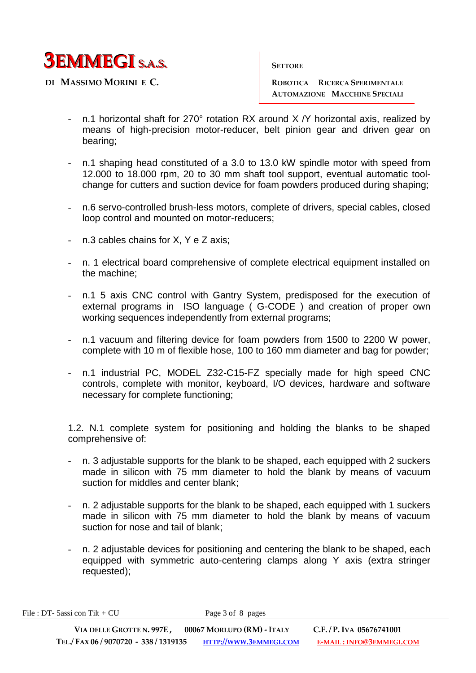

- n.1 horizontal shaft for 270° rotation RX around X /Y horizontal axis, realized by means of high-precision motor-reducer, belt pinion gear and driven gear on bearing;
- n.1 shaping head constituted of a 3.0 to 13.0 kW spindle motor with speed from 12.000 to 18.000 rpm, 20 to 30 mm shaft tool support, eventual automatic toolchange for cutters and suction device for foam powders produced during shaping;
- n.6 servo-controlled brush-less motors, complete of drivers, special cables, closed loop control and mounted on motor-reducers;
- n.3 cables chains for X, Y e Z axis;
- n. 1 electrical board comprehensive of complete electrical equipment installed on the machine;
- n.1 5 axis CNC control with Gantry System, predisposed for the execution of external programs in ISO language ( G-CODE ) and creation of proper own working sequences independently from external programs;
- n.1 vacuum and filtering device for foam powders from 1500 to 2200 W power, complete with 10 m of flexible hose, 100 to 160 mm diameter and bag for powder;
- n.1 industrial PC, MODEL Z32-C15-FZ specially made for high speed CNC controls, complete with monitor, keyboard, I/O devices, hardware and software necessary for complete functioning;

1.2. N.1 complete system for positioning and holding the blanks to be shaped comprehensive of:

- n. 3 adjustable supports for the blank to be shaped, each equipped with 2 suckers made in silicon with 75 mm diameter to hold the blank by means of vacuum suction for middles and center blank;
- n. 2 adjustable supports for the blank to be shaped, each equipped with 1 suckers made in silicon with 75 mm diameter to hold the blank by means of vacuum suction for nose and tail of blank:
- n. 2 adjustable devices for positioning and centering the blank to be shaped, each equipped with symmetric auto-centering clamps along Y axis (extra stringer requested);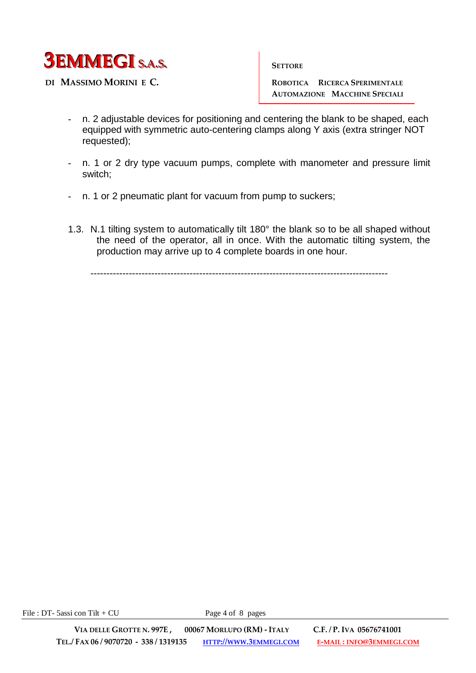

- n. 2 adjustable devices for positioning and centering the blank to be shaped, each equipped with symmetric auto-centering clamps along Y axis (extra stringer NOT requested);
- n. 1 or 2 dry type vacuum pumps, complete with manometer and pressure limit switch;
- n. 1 or 2 pneumatic plant for vacuum from pump to suckers;
- 1.3. N.1 tilting system to automatically tilt 180° the blank so to be all shaped without the need of the operator, all in once. With the automatic tilting system, the production may arrive up to 4 complete boards in one hour.

---------------------------------------------------------------------------------------------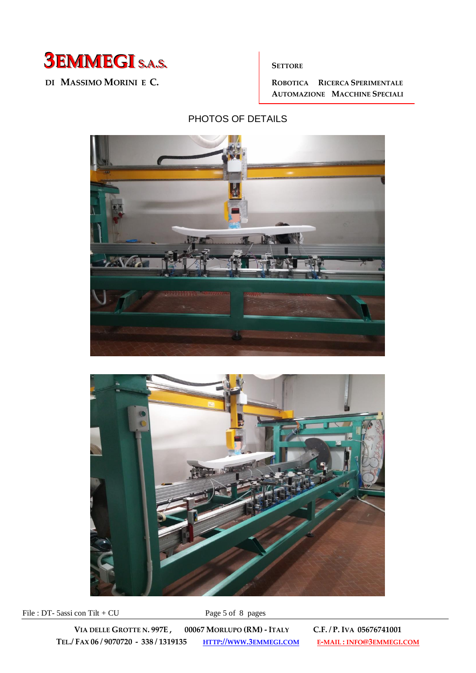

# PHOTOS OF DETAILS





File : DT- 5assi con Tilt + CU Page 5 of 8 pages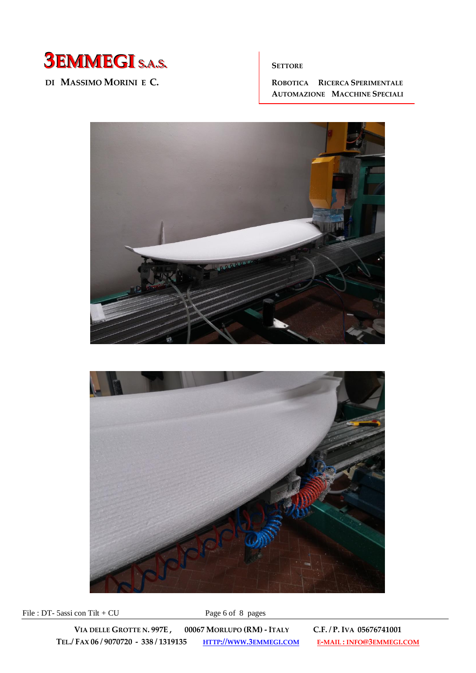





File : DT- 5assi con Tilt + CU Page 6 of 8 pages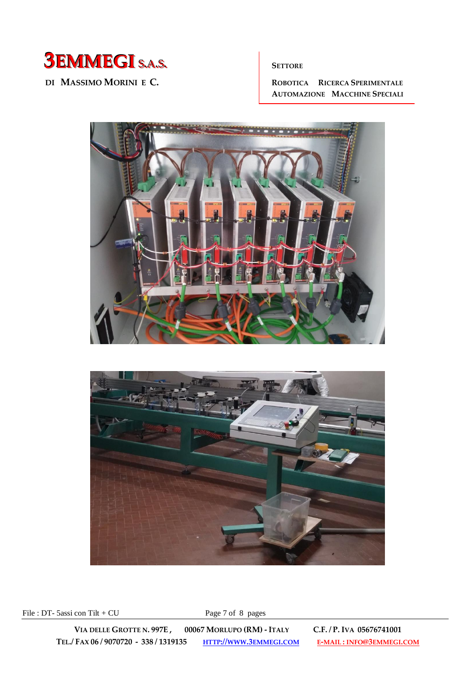





File : DT- 5assi con Tilt + CU Page 7 of 8 pages